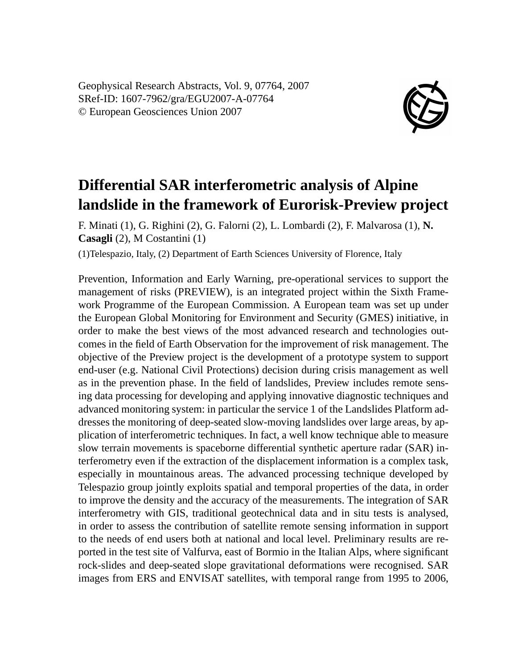Geophysical Research Abstracts, Vol. 9, 07764, 2007 SRef-ID: 1607-7962/gra/EGU2007-A-07764 © European Geosciences Union 2007



## **Differential SAR interferometric analysis of Alpine landslide in the framework of Eurorisk-Preview project**

F. Minati (1), G. Righini (2), G. Falorni (2), L. Lombardi (2), F. Malvarosa (1), **N. Casagli** (2), M Costantini (1)

(1)Telespazio, Italy, (2) Department of Earth Sciences University of Florence, Italy

Prevention, Information and Early Warning, pre-operational services to support the management of risks (PREVIEW), is an integrated project within the Sixth Framework Programme of the European Commission. A European team was set up under the European Global Monitoring for Environment and Security (GMES) initiative, in order to make the best views of the most advanced research and technologies outcomes in the field of Earth Observation for the improvement of risk management. The objective of the Preview project is the development of a prototype system to support end-user (e.g. National Civil Protections) decision during crisis management as well as in the prevention phase. In the field of landslides, Preview includes remote sensing data processing for developing and applying innovative diagnostic techniques and advanced monitoring system: in particular the service 1 of the Landslides Platform addresses the monitoring of deep-seated slow-moving landslides over large areas, by application of interferometric techniques. In fact, a well know technique able to measure slow terrain movements is spaceborne differential synthetic aperture radar (SAR) interferometry even if the extraction of the displacement information is a complex task, especially in mountainous areas. The advanced processing technique developed by Telespazio group jointly exploits spatial and temporal properties of the data, in order to improve the density and the accuracy of the measurements. The integration of SAR interferometry with GIS, traditional geotechnical data and in situ tests is analysed, in order to assess the contribution of satellite remote sensing information in support to the needs of end users both at national and local level. Preliminary results are reported in the test site of Valfurva, east of Bormio in the Italian Alps, where significant rock-slides and deep-seated slope gravitational deformations were recognised. SAR images from ERS and ENVISAT satellites, with temporal range from 1995 to 2006,